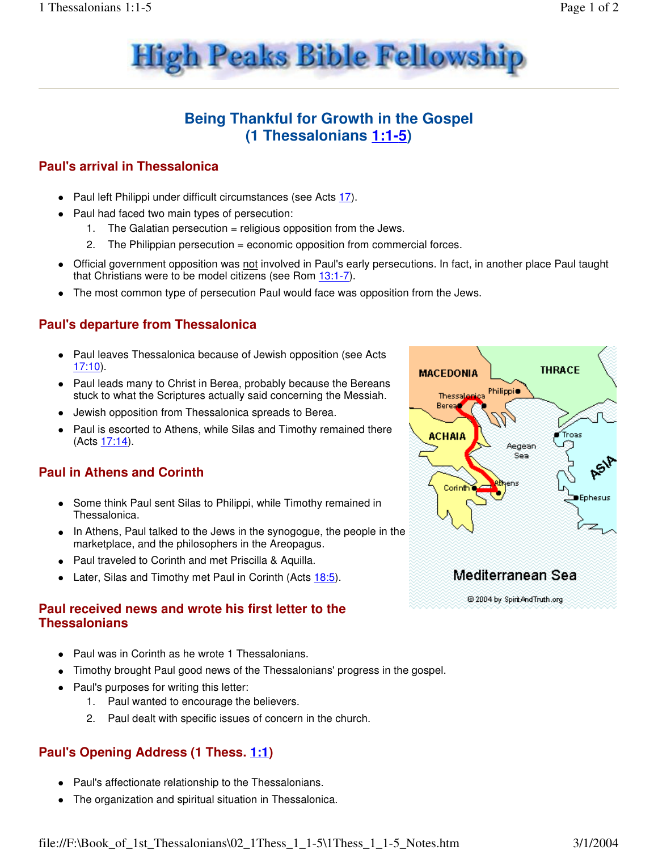



## **Being Thankful for Growth in the Gospel (1 Thessalonians 1:1-5)**

#### **Paul's arrival in Thessalonica**

- Paul left Philippi under difficult circumstances (see Acts 17).
- Paul had faced two main types of persecution:
	- 1. The Galatian persecution = religious opposition from the Jews.
	- 2. The Philippian persecution = economic opposition from commercial forces.
- Official government opposition was not involved in Paul's early persecutions. In fact, in another place Paul taught that Christians were to be model citizens (see Rom 13:1-7).
- The most common type of persecution Paul would face was opposition from the Jews.

#### **Paul's departure from Thessalonica**

- Paul leaves Thessalonica because of Jewish opposition (see Acts 17:10).
- Paul leads many to Christ in Berea, probably because the Bereans stuck to what the Scriptures actually said concerning the Messiah.
- Jewish opposition from Thessalonica spreads to Berea.
- Paul is escorted to Athens, while Silas and Timothy remained there (Acts 17:14).

### **Paul in Athens and Corinth**

- Some think Paul sent Silas to Philippi, while Timothy remained in Thessalonica.
- In Athens, Paul talked to the Jews in the synogogue, the people in the marketplace, and the philosophers in the Areopagus.
- Paul traveled to Corinth and met Priscilla & Aquilla.
- Later, Silas and Timothy met Paul in Corinth (Acts 18:5).

#### **Paul received news and wrote his first letter to the Thessalonians**

- Paul was in Corinth as he wrote 1 Thessalonians.
- Timothy brought Paul good news of the Thessalonians' progress in the gospel.
- Paul's purposes for writing this letter:
	- 1. Paul wanted to encourage the believers.
	- 2. Paul dealt with specific issues of concern in the church.

### **Paul's Opening Address (1 Thess. 1:1)**

- Paul's affectionate relationship to the Thessalonians.
- The organization and spiritual situation in Thessalonica.



### Mediterranean Sea

@ 2004 by Spirt And Truth.org